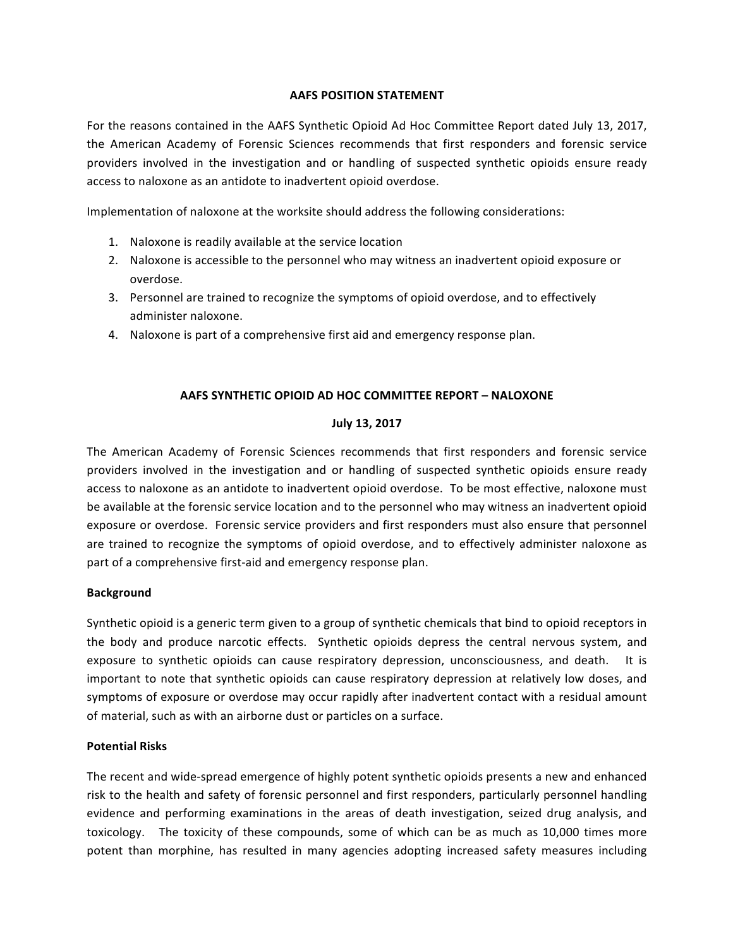## **AAFS POSITION STATEMENT**

For the reasons contained in the AAFS Synthetic Opioid Ad Hoc Committee Report dated July 13, 2017, the American Academy of Forensic Sciences recommends that first responders and forensic service providers involved in the investigation and or handling of suspected synthetic opioids ensure ready access to naloxone as an antidote to inadvertent opioid overdose.

Implementation of naloxone at the worksite should address the following considerations:

- 1. Naloxone is readily available at the service location
- 2. Naloxone is accessible to the personnel who may witness an inadvertent opioid exposure or overdose.
- 3. Personnel are trained to recognize the symptoms of opioid overdose, and to effectively administer naloxone.
- 4. Naloxone is part of a comprehensive first aid and emergency response plan.

# **AAFS SYNTHETIC OPIOID AD HOC COMMITTEE REPORT – NALOXONE**

# **July 13, 2017**

The American Academy of Forensic Sciences recommends that first responders and forensic service providers involved in the investigation and or handling of suspected synthetic opioids ensure ready access to naloxone as an antidote to inadvertent opioid overdose. To be most effective, naloxone must be available at the forensic service location and to the personnel who may witness an inadvertent opioid exposure or overdose. Forensic service providers and first responders must also ensure that personnel are trained to recognize the symptoms of opioid overdose, and to effectively administer naloxone as part of a comprehensive first-aid and emergency response plan.

# **Background**

Synthetic opioid is a generic term given to a group of synthetic chemicals that bind to opioid receptors in the body and produce narcotic effects. Synthetic opioids depress the central nervous system, and exposure to synthetic opioids can cause respiratory depression, unconsciousness, and death. It is important to note that synthetic opioids can cause respiratory depression at relatively low doses, and symptoms of exposure or overdose may occur rapidly after inadvertent contact with a residual amount of material, such as with an airborne dust or particles on a surface.

# **Potential Risks**

The recent and wide-spread emergence of highly potent synthetic opioids presents a new and enhanced risk to the health and safety of forensic personnel and first responders, particularly personnel handling evidence and performing examinations in the areas of death investigation, seized drug analysis, and toxicology. The toxicity of these compounds, some of which can be as much as 10,000 times more potent than morphine, has resulted in many agencies adopting increased safety measures including